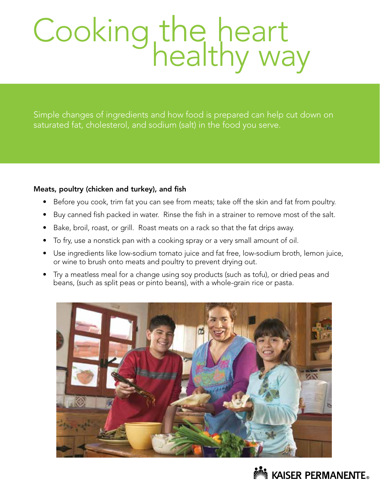# Cooking the heart<br>healthy way

Simple changes of ingredients and how food is prepared can help cut down on saturated fat, cholesterol, and sodium (salt) in the food you serve.

# Meats, poultry (chicken and turkey), and fish

- Before you cook, trim fat you can see from meats; take off the skin and fat from poultry.
- Buy canned fish packed in water. Rinse the fish in a strainer to remove most of the salt.
- Bake, broil, roast, or grill. Roast meats on a rack so that the fat drips away.
- To fry, use a nonstick pan with a cooking spray or a very small amount of oil.
- Use ingredients like low-sodium tomato juice and fat free, low-sodium broth, lemon juice, or wine to brush onto meats and poultry to prevent drying out.
- Try a meatless meal for a change using soy products (such as tofu), or dried peas and beans, (such as split peas or pinto beans), with a whole-grain rice or pasta.



# **NO KAISER PERMANENTE.**